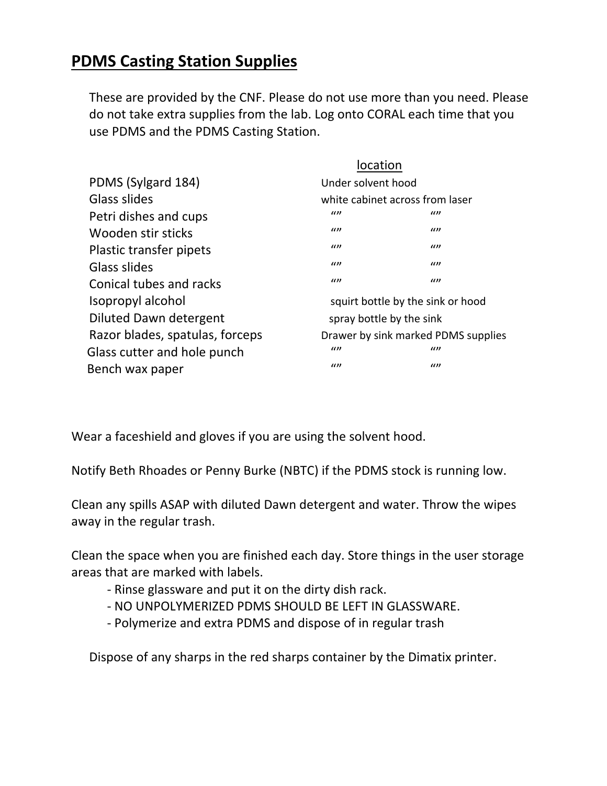# **PDMS Casting Station Supplies**

These are provided by the CNF. Please do not use more than you need. Please do not take extra supplies from the lab. Log onto CORAL each time that you use PDMS and the PDMS Casting Station.

|                                 | location                            |          |
|---------------------------------|-------------------------------------|----------|
| PDMS (Sylgard 184)              | Under solvent hood                  |          |
| Glass slides                    | white cabinet across from laser     |          |
| Petri dishes and cups           | (1)                                 | $\omega$ |
| Wooden stir sticks              | (1)                                 | $\omega$ |
| Plastic transfer pipets         | $\omega$                            | $\omega$ |
| Glass slides                    | (1)                                 | $\omega$ |
| Conical tubes and racks         | (1)                                 | $\omega$ |
| Isopropyl alcohol               | squirt bottle by the sink or hood   |          |
| Diluted Dawn detergent          | spray bottle by the sink            |          |
| Razor blades, spatulas, forceps | Drawer by sink marked PDMS supplies |          |
| Glass cutter and hole punch     | (1)                                 | $\iota$  |
| Bench wax paper                 | $\iota$                             | $\omega$ |

Wear a faceshield and gloves if you are using the solvent hood.

Notify Beth Rhoades or Penny Burke (NBTC) if the PDMS stock is running low.

Clean any spills ASAP with diluted Dawn detergent and water. Throw the wipes away in the regular trash.

Clean the space when you are finished each day. Store things in the user storage areas that are marked with labels.

- ‐ Rinse glassware and put it on the dirty dish rack.
- ‐ NO UNPOLYMERIZED PDMS SHOULD BE LEFT IN GLASSWARE.
- ‐ Polymerize and extra PDMS and dispose of in regular trash

Dispose of any sharps in the red sharps container by the Dimatix printer.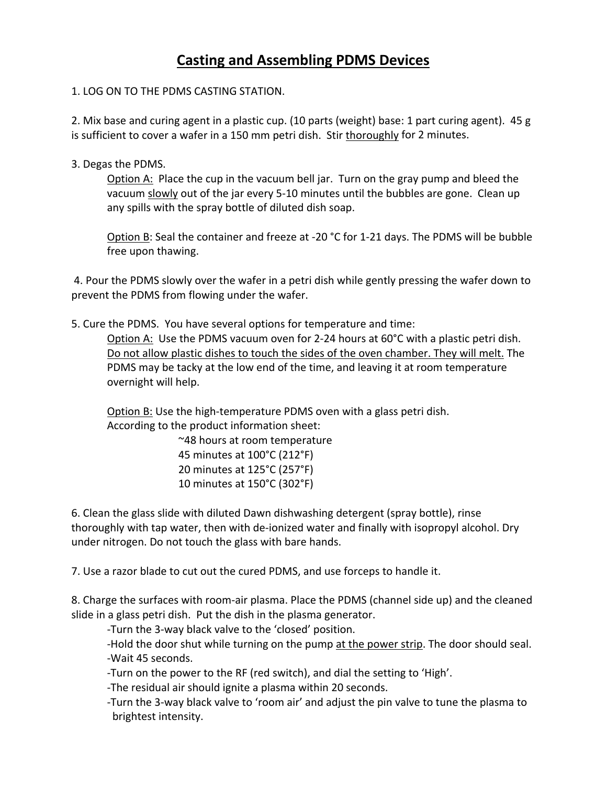## **Casting and Assembling PDMS Devices**

#### 1. LOG ON TO THE PDMS CASTING STATION.

2. Mix base and curing agent in a plastic cup. (10 parts (weight) base: 1 part curing agent). 45 g is sufficient to cover a wafer in a 150 mm petri dish. Stir thoroughly for 2 minutes.

3. Degas the PDMS.

Option A: Place the cup in the vacuum bell jar. Turn on the gray pump and bleed the vacuum slowly out of the jar every 5‐10 minutes until the bubbles are gone. Clean up any spills with the spray bottle of diluted dish soap.

Option B: Seal the container and freeze at ‐20 °C for 1‐21 days. The PDMS will be bubble free upon thawing.

4. Pour the PDMS slowly over the wafer in a petri dish while gently pressing the wafer down to prevent the PDMS from flowing under the wafer.

5. Cure the PDMS. You have several options for temperature and time:

Option A: Use the PDMS vacuum oven for 2-24 hours at 60°C with a plastic petri dish. Do not allow plastic dishes to touch the sides of the oven chamber. They will melt. The PDMS may be tacky at the low end of the time, and leaving it at room temperature overnight will help.

Option B: Use the high‐temperature PDMS oven with a glass petri dish. According to the product information sheet:

> ~48 hours at room temperature minutes at 100°C (212°F) minutes at 125°C (257°F) minutes at 150°C (302°F)

6. Clean the glass slide with diluted Dawn dishwashing detergent (spray bottle), rinse thoroughly with tap water, then with de‐ionized water and finally with isopropyl alcohol. Dry under nitrogen. Do not touch the glass with bare hands.

7. Use a razor blade to cut out the cured PDMS, and use forceps to handle it.

8. Charge the surfaces with room‐air plasma. Place the PDMS (channel side up) and the cleaned slide in a glass petri dish. Put the dish in the plasma generator.

‐Turn the 3‐way black valve to the 'closed' position.

‐Hold the door shut while turning on the pump at the power strip. The door should seal. ‐Wait 45 seconds.

‐Turn on the power to the RF (red switch), and dial the setting to 'High'.

‐The residual air should ignite a plasma within 20 seconds.

‐Turn the 3‐way black valve to 'room air' and adjust the pin valve to tune the plasma to brightest intensity.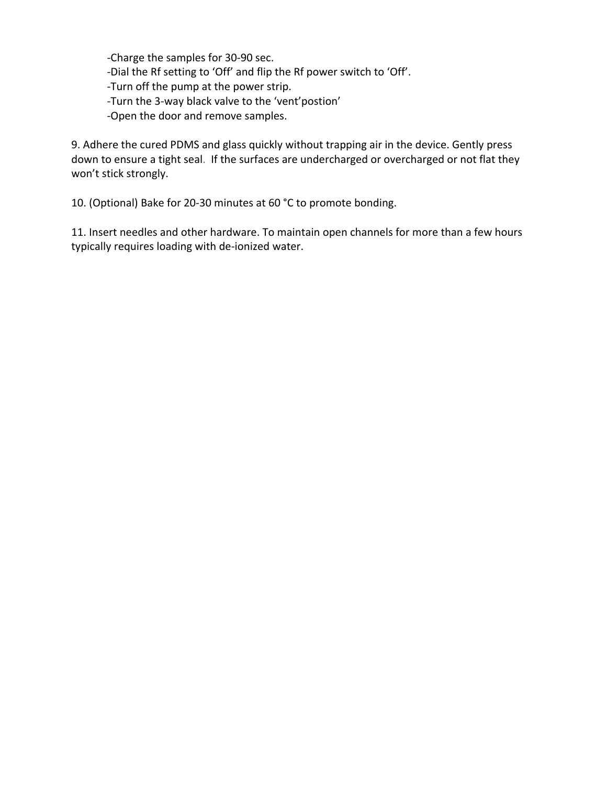‐Charge the samples for 30‐90 sec. ‐Dial the Rf setting to 'Off' and flip the Rf power switch to 'Off'. ‐Turn off the pump at the power strip. ‐Turn the 3‐way black valve to the 'vent'postion' ‐Open the door and remove samples.

9. Adhere the cured PDMS and glass quickly without trapping air in the device. Gently press down to ensure a tight seal. If the surfaces are undercharged or overcharged or not flat they won't stick strongly.

10. (Optional) Bake for 20-30 minutes at 60 °C to promote bonding.

11. Insert needles and other hardware. To maintain open channels for more than a few hours typically requires loading with de‐ionized water.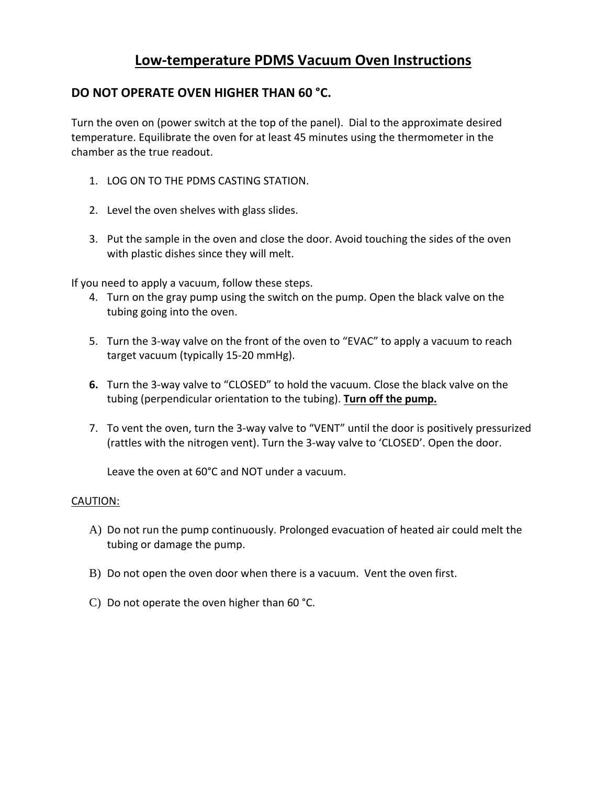### **Low‐temperature PDMS Vacuum Oven Instructions**

#### **DO NOT OPERATE OVEN HIGHER THAN 60 °C.**

Turn the oven on (power switch at the top of the panel). Dial to the approximate desired temperature. Equilibrate the oven for at least 45 minutes using the thermometer in the chamber as the true readout.

- 1. LOG ON TO THE PDMS CASTING STATION.
- 2. Level the oven shelves with glass slides.
- 3. Put the sample in the oven and close the door. Avoid touching the sides of the oven with plastic dishes since they will melt.

If you need to apply a vacuum, follow these steps.

- 4. Turn on the gray pump using the switch on the pump. Open the black valve on the tubing going into the oven.
- 5. Turn the 3-way valve on the front of the oven to "EVAC" to apply a vacuum to reach target vacuum (typically 15‐20 mmHg).
- **6.** Turn the 3‐way valve to "CLOSED" to hold the vacuum. Close the black valve on the tubing (perpendicular orientation to the tubing). **Turn off the pump.**
- 7. To vent the oven, turn the 3-way valve to "VENT" until the door is positively pressurized (rattles with the nitrogen vent). Turn the 3‐way valve to 'CLOSED'. Open the door.

Leave the oven at 60°C and NOT under a vacuum.

- A) Do not run the pump continuously. Prolonged evacuation of heated air could melt the tubing or damage the pump.
- B) Do not open the oven door when there is a vacuum. Vent the oven first.
- C) Do not operate the oven higher than 60 °C.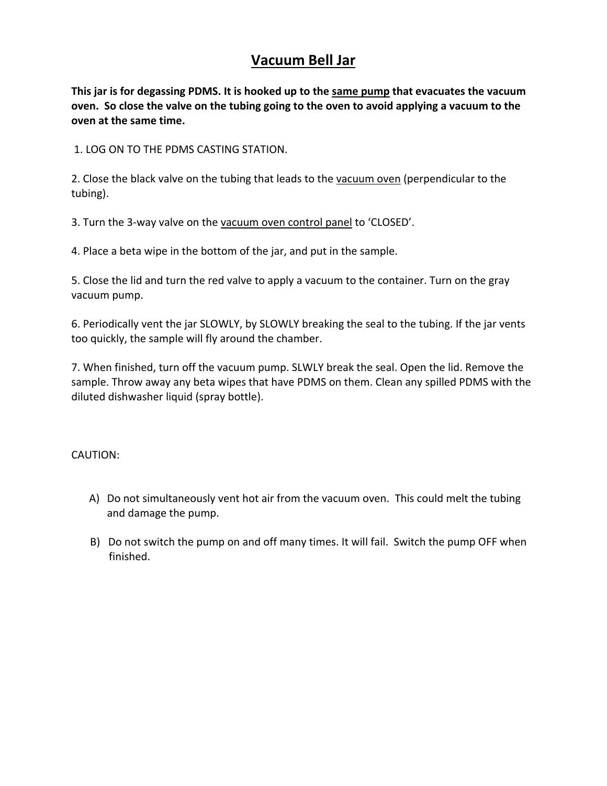### **Vacuum Bell Jar**

**This jar is for degassing PDMS. It is hooked up to the same pump that evacuates the vacuum** oven. So close the valve on the tubing going to the oven to avoid applying a vacuum to the **oven at the same time.**

1. LOG ON TO THE PDMS CASTING STATION.

2. Close the black valve on the tubing that leads to the vacuum oven (perpendicular to the tubing).

3. Turn the 3-way valve on the vacuum oven control panel to 'CLOSED'.

4. Place a beta wipe in the bottom of the jar, and put in the sample.

5. Close the lid and turn the red valve to apply a vacuum to the container. Turn on the gray vacuum pump.

6. Periodically vent the jar SLOWLY, by SLOWLY breaking the seal to the tubing. If the jar vents too quickly, the sample will fly around the chamber.

7. When finished, turn off the vacuum pump. SLWLY break the seal. Open the lid. Remove the sample. Throw away any beta wipes that have PDMS on them. Clean any spilled PDMS with the diluted dishwasher liquid (spray bottle).

- A) Do not simultaneously vent hot air from the vacuum oven. This could melt the tubing and damage the pump.
- B) Do not switch the pump on and off many times. It will fail. Switch the pump OFF when finished.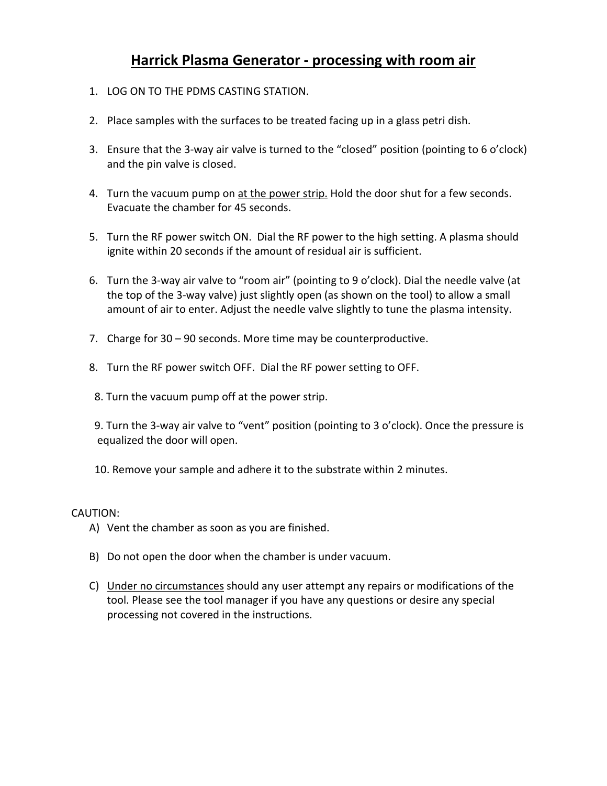### **Harrick Plasma Generator ‐ processing with room air**

- 1. LOG ON TO THE PDMS CASTING STATION.
- 2. Place samples with the surfaces to be treated facing up in a glass petri dish.
- 3. Ensure that the 3-way air valve is turned to the "closed" position (pointing to 6 o'clock) and the pin valve is closed.
- 4. Turn the vacuum pump on at the power strip. Hold the door shut for a few seconds. Evacuate the chamber for 45 seconds.
- 5. Turn the RF power switch ON. Dial the RF power to the high setting. A plasma should ignite within 20 seconds if the amount of residual air is sufficient.
- 6. Turn the 3‐way air valve to "room air" (pointing to 9 o'clock). Dial the needle valve (at the top of the 3‐way valve) just slightly open (as shown on the tool) to allow a small amount of air to enter. Adjust the needle valve slightly to tune the plasma intensity.
- 7. Charge for 30 90 seconds. More time may be counterproductive.
- 8. Turn the RF power switch OFF. Dial the RF power setting to OFF.
- 8. Turn the vacuum pump off at the power strip.

9. Turn the 3-way air valve to "vent" position (pointing to 3 o'clock). Once the pressure is equalized the door will open.

10. Remove your sample and adhere it to the substrate within 2 minutes.

- A) Vent the chamber as soon as you are finished.
- B) Do not open the door when the chamber is under vacuum.
- C) Under no circumstances should any user attempt any repairs or modifications of the tool. Please see the tool manager if you have any questions or desire any special processing not covered in the instructions.